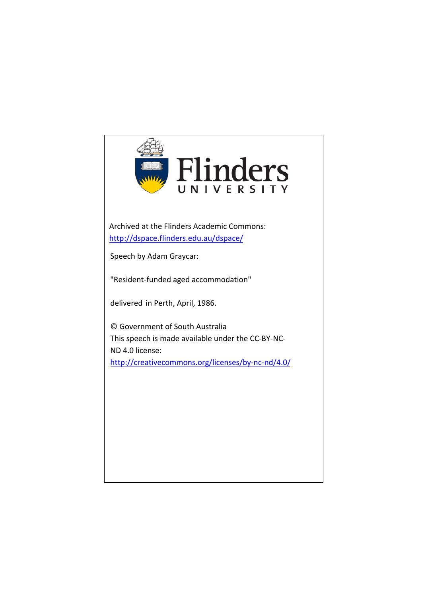

Archived at the Flinders Academic Commons: <http://dspace.flinders.edu.au/dspace/>

Speech by Adam Graycar:

"Resident-funded aged accommodation"

delivered in Perth, April, 1986.

© Government of South Australia This speech is made available under the CC-BY-NC-ND 4.0 license: <http://creativecommons.org/licenses/by-nc-nd/4.0/>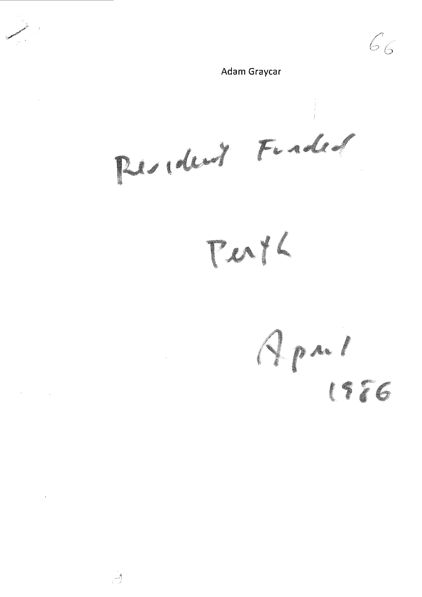$66$ Adam Graycar  $\bar{z}$ Resident Finded Perth Apal  $\mathcal{L}_{\mathcal{L}}$ 1986  $\mathcal{H}^{\text{max}}_{\text{max}}$  and  $\mathcal{H}^{\text{max}}_{\text{max}}$ 

 $\mathcal{A}$ 

 $\mathcal{L}$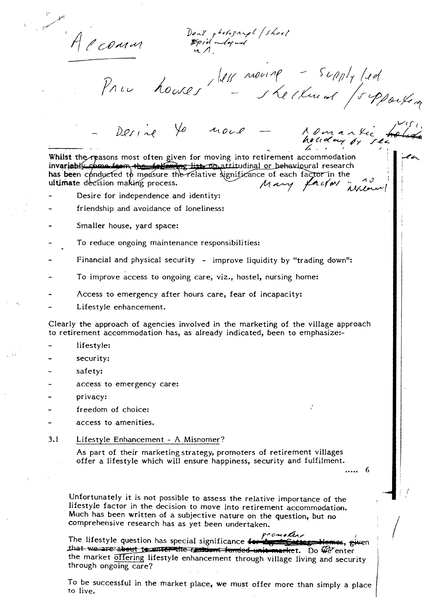Account

Don't photograph (shoot<br>Epid adopted<br>und

Pru houses 1818 mourage - supply led

Whilst the reasons most often given for moving into retirement accommodation invariably come from the following list no attitudinal or permission is interesting to has been conducted to measure the relative significance of each factor in the derivation making process.

yo nove

Desire for independence and identity:

 $Derie$ 

- friendship and avoidance of loneliness:
- Smaller house, yard space:
- To reduce ongoing maintenance responsibilities:
- Financial and physical security improve liquidity by "trading down":
- To improve access to ongoing care, viz., hostel, nursing home:
- Access to emergency after hours care, fear of incapacity:
- Lifestyle enhancement.

Clearly the approach of agencies involved in the marketing of the village approach to retirement accommodation has, as already indicated, been to emphasize:-

- lifestyle:
- security:
- safety:
- access to emergency care:
- privacy:
- freedom of choice:
- access to amenities.
- $3.1$ Lifestyle Enhancement - A Misnomer?

As part of their marketing strategy, promoters of retirement villages offer a lifestyle which will ensure happiness, security and fulfilment.

> -6 . . . . .

Donanki

Unfortunately it is not possible to assess the relative importance of the lifestyle factor in the decision to move into retirement accommodation. Much has been written of a subjective nature on the question, but no comprehensive research has as yet been undertaken.

promoter The lifestyle question has special significance for the settle settlemes, given that we are about to unter the restrict funded unit market. Do we enter the market offering lifestyle enhancement through village living and security through ongoing care?

To be successful in the market place, we must offer more than simply a place to live.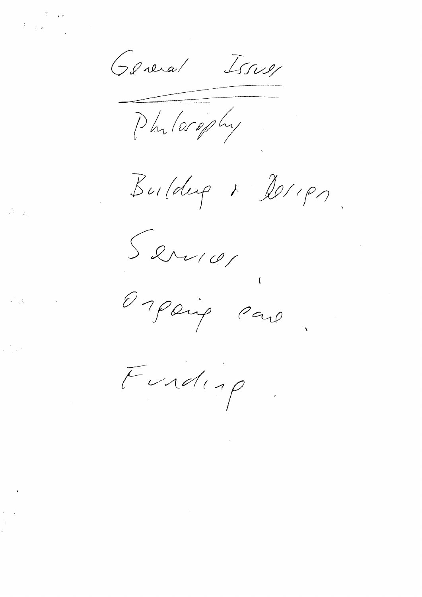General Issuer

Phylosophy

 $\mathcal{B}$ uldup 1 2011 pm

Servia

Orpaig Par

Funding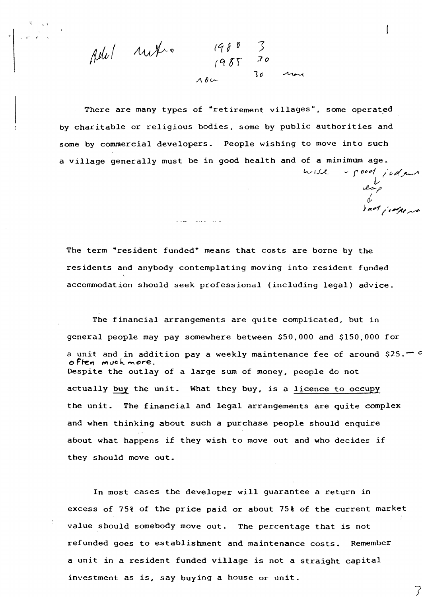pele untro *Jo*  1o

and the second control

There are many types of "retirement villages", some operated by charitable or religious bodies, some by public authorities and some by commercial developers. People wishing to move into such a village generally must be in good health and of a minimum age.  $t$ *,* $*j*$ *i ~I'* 

The term "resident funded" means that costs are borne by the residents and anybody contemplating moving into resident funded accommodation should seek professional (including legal) advice.

*cf, ),c,f /e.~~* 

7

The financial arrangements are quite complicated, but in general people may pay somewhere between \$50,000 and \$150,000 for a unit and in addition pay a weekly maintenance fee of around \$25. $\circ$ **<sup>0</sup>F** ~ **'1 ff'\** u c '-.. **tY\** *C* **,..-e.** . Despite the outlay of a large sum of money, people do not actually buy the unit. What they buy, is a licence to occupy the unit. The financial and legal arrangements are quite complex and when thinking about such a purchase people should enquire about what happens if they wish to move out and who decides if they should move out.

In most cases the developer will guarantee a return in excess of 75% of the price paid or about 75% of the current market value should somebody move out. The percentage that is not refunded goes to establishment and maintenance costs. Remember a unit in a resident funded village is not a straight capital investment as is, say buying a house or unit.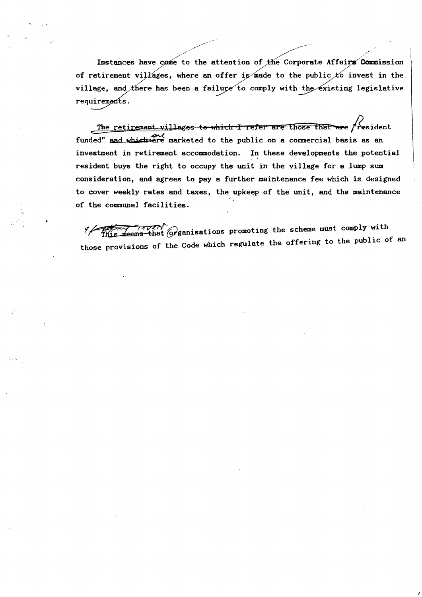Instances have come to the attention of the Corporate Affairs Commission of retirement villages, where an offer is made to the public to invest in the village, and there has been a failure to comply with the existing legislative requirements.

The retirement villages to which I refer are those that are resident funded" and which are marketed to the public on a commercial basis as an investment in retirement accommodation. In these developments the potential resident buys the right to occupy the unit in the village for a lump sum consideration, and agrees to pay a further maintenance fee which is designed to cover weekly rates and taxes, the upkeep of the unit, and the maintenance of the communal facilities.

TAVICO Graphications promoting the scheme must comply with 9 р those provisions of the Code which regulate the offering to the public of an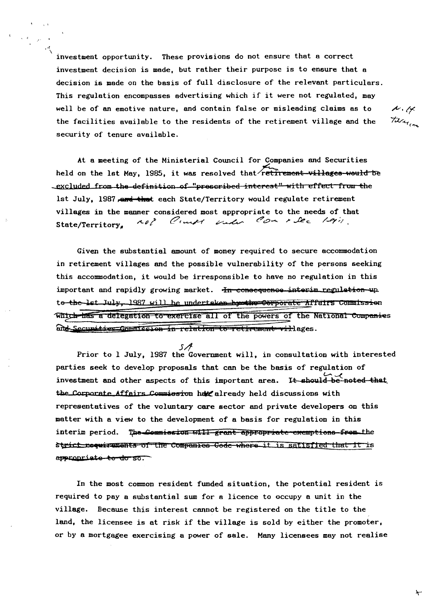investment opportunity. These provisions do not ensure that a correct investment decision is made, but rather their purpose is to ensure that a decision is made on the basis of full disclosure of the relevant particulars. This regulation encompasses advertising which if it were not regulated, may well be of an emotive nature, and contain false or misleading claims as to the facilities available to the residents of the retirement village and the security of tenure available.

At a meeting of the Ministerial Council for Companies and Securities held on the 1st May, 1985, it was resolved that retirement-villages-would be excluded from the definition of "prescribed interest" with effect from the lst July. 1987, and that each State/Territory would regulate retirement villages in the manner considered most appropriate to the needs of that not Count onder Con rice legis. State/Territory.

Given the substantial amount of money required to secure accommodation in retirement villages and the possible vulnerability of the persons seeking this accommodation, it would be irresponsible to have no regulation in this important and rapidly growing market. In consequence interim regulation up. to the lst July, 1987 will be undertaken hymthe Corporate Affairs Commission Which has a delegation to exercise all of the powers of the National Companies and Securities Commission in relation to retirement willages.

S A Prior to 1 July, 1987 the Government will, in consultation with interested parties seek to develop proposals that can be the basis of regulation of investment and other aspects of this important area. It should be noted that the Corporate Affairs Commission have already held discussions with representatives of the voluntary care sector and private developers on this matter with a view to the development of a basis for regulation in this interim period. The Commission will grant appropriate exemptions from the Strict requirements of the Companies Gode where it is satisfied that it is appropriate to do so.

In the most common resident funded situation, the potential resident is required to pay a substantial sum for a licence to occupy a unit in the village. Because this interest cannot be registered on the title to the land, the licensee is at risk if the village is sold by either the promoter, or by a mortgagee exercising a power of sale. Many licensees may not realise

 $A, A$ Television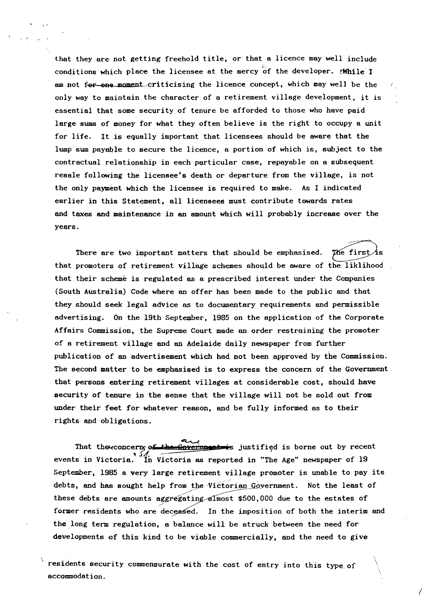that they are not getting freehold title, or that a licence may well include conditions which place the licensee at the mercy of the developer.  $x^2 + y^2 = 1$ am not for one moment criticising the licence concept, which may well be the only way to maintain the character of a retirement village development, it is essential that some security of tenure be afforded to those who have paid large sums of money for what they often believe is the right to occupy a unit for life. It is equally important that licensees should be aware that the lump sum payable to secure the licence, a portion of which is, subject to the contractual relationship in each particular case, repayable on a subsequent resale following the licensee's death or departure from the village, is not the only payment which the licensee is required to make. As I indicated earlier in this Statement, all licensees must contribute towards rates and taxes and maintenance in an amount which will probably increase over the years.

There are two important matters that should be emphasised. The first that promoters of retirement village schemes should be aware of the liklihood that their scheme is regulated as a prescribed interest under the Companies (South Australia) Code where an offer has been made to the public and that they should seek legal advice as to documentary requirements and permissible advertising. On the 19th September, 1985 on the application of the Corporate Affairs Commission, the Supreme Court made an order restraining the promoter of a retirement village and an Adelaide daily newspaper from further publication of an advertisement which had not been approved by the Commission. The second matter to be emphasised is to express the concern of the Government that persons entering retirement villages at considerable cost, should have security of tenure in the sense that the village will not be sold out from under their feet for whatever reason, and be fully informed as to their rights and obligations.

That the concern, of the Government is justified is borne out by recent events in Victoria. <sup>1</sup> In Victoria as reported in "The Age" newspaper of 19 September. 1985 a very large retirement village promoter is unable to pay its debts, and has sought help from the Victorian Government. Not the least of these debts are amounts aggregating almost \$500,000 due to the estates of former residents who are deceased. In the imposition of both the interim and the long term regulation, a balance will be struck between the need for developments of this kind to be viable commercially, and the need to **give** 

*I* 

\ **residents** security commensurate **with** the cost of entry into this type.of accommodation.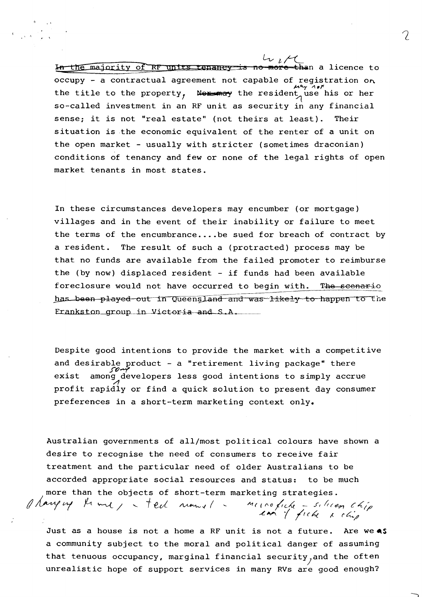In the majority of RF units tenancy is no more than a licence to occupy - a contractual agreement not capable of registration on the title to the property, Next and the resident use his or her so-called investment in an RF unit as security in any financial sense; it is not "real estate" (not theirs at least). Their situation is the economic equivalent of the renter of a unit on the open market - usually with stricter (sometimes draconian) conditions of tenancy and few or none of the legal rights of open market tenants in most states.

In these circumstances developers may encumber (or mortgage) villages and in the event of their inability or failure to meet the terms of the encumbrance .... be sued for breach of contract by a resident. The result of such a (protracted) process may be that no funds are available from the failed promoter to reimburse the (by now) displaced resident - if funds had been available foreclosure would not have occurred to begin with. The scenario has been played out in Queensland and was likely to happen to the Frankston group in Victoria and S.A.

Despite good intentions to provide the market with a competitive and desirable product - a "retirement living package" there *.J"'()-(*  exist among developers less good intentions to simply accrue profit rapidly or find a quick solution to present day consumer preferences in a short-term marketing context only.

Australian governments of all/most political colours have shown a desire to recognise the need of consumers to receive fair treatment and the particular need of older Australians to be accorded appropriate social resources and status: to be much more than the objects of short-term marketing strategies. more than the objects of short-term marketing strategies.<br>*A havy vy*  $\mu$  and  $\mu$  ted numed in the picker selection chip

Just as a house is not a home a RF unit is not a future. Are we **4S** a community subject to the moral and political danger of assuming that tenuous occupancy, marginal financial security<sub>j</sub>and the often unrealistic hope of support services in many RVs are good enough?

*~,v-..\_* / *(1c4* 1- *r4,/* 

7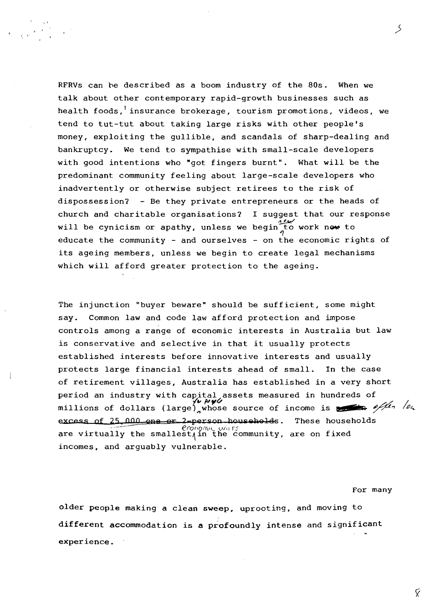RFRVs can be described as a boom industry of the 80s. When we talk about other contemporary rapid-growth businesses such as health foods, insurance brokerage, tourism promotions, videos, we tend to tut-tut about taking large risks with other people's money, exploiting the gullible, and scandals of sharp-dealing and bankruptcy. We tend to sympathise with small-scale developers with good intentions who "got fingers burnt". What will be the predominant community feeling about large-scale developers who inadvertently or otherwise subject retirees to the risk of dispossession? - Be they private entrepreneurs or the heads of church and charitable organisations? I suggest that our response church and charitable organisations? I suggest that our re<br>will be cynicism or apathy, unless we begin to work new to educate the community - and ourselves - on the economic rights of its ageing members, unless we begin to create legal mechanisms which will afford greater protection to the ageing.

The injunction "buyer beware" should be sufficient, some might say. Common law and code law afford protection and impose controls among a range of economic interests in Australia but law is conservative and selective in that it usually protects established interests before innovative interests and usually protects large financial interests ahead of small. In the case of retirement villages, Australia has established in a very short period an industry with capital assets measured in hundreds of period an industry with capital assets measured in numbers of<br>millions of dollars (large) whose source of income is  $\frac{1}{2}$ **excess of 25,000 one or 2-person households.** These households. are virtually the smallest $\mathcal{H}$  are  $\mathcal{H}$  are on fixed incomes, and arguably vulnerable.

For many

Ý

older people making a clean **sweep,** uprooting, and moving to different accommodation is **a** profoundly intense and significant experience.